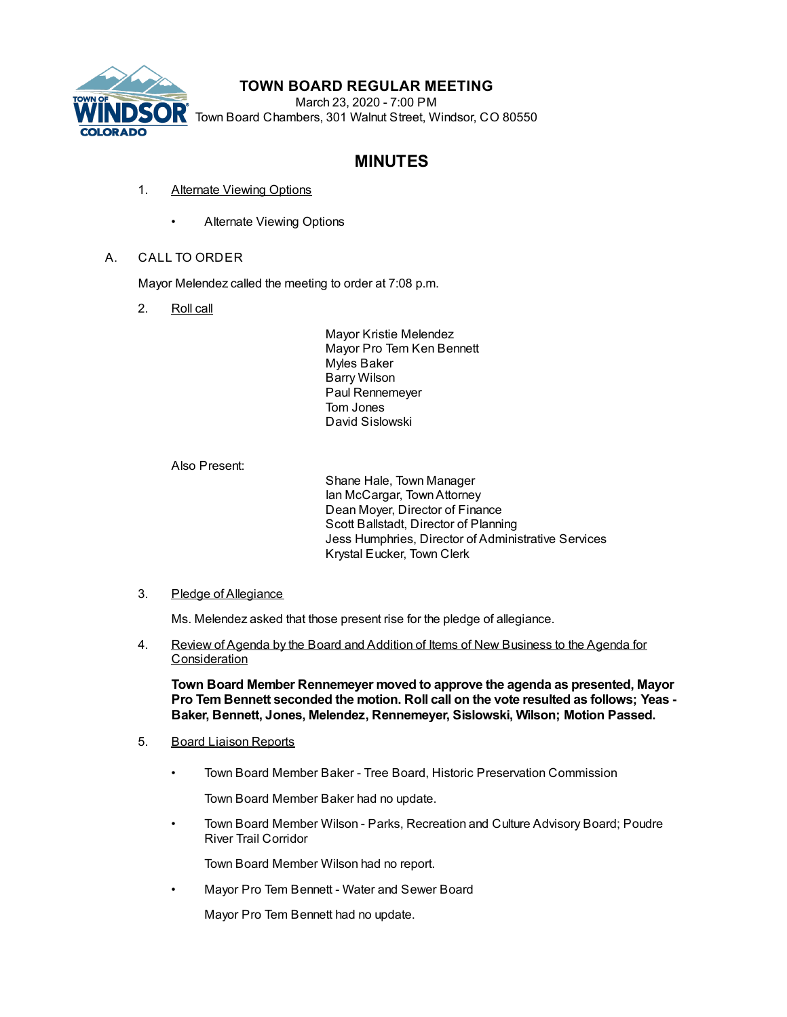

## **TOWN BOARD REGULAR MEETING**

March 23, 2020 - 7:00 PM Town Board Chambers, 301 Walnut Street, Windsor, CO 80550

# **MINUTES**

- 1. Alternate Viewing Options
	- Alternate Viewing Options

## A. CALL TO ORDER

Mayor Melendez called the meeting to order at 7:08 p.m.

2. Roll call

Mayor Kristie Melendez Mayor Pro Tem Ken Bennett Myles Baker Barry Wilson Paul Rennemeyer Tom Jones David Sislowski

Also Present:

Shane Hale, Town Manager Ian McCargar, TownAttorney Dean Moyer, Director of Finance Scott Ballstadt, Director of Planning Jess Humphries, Director of Administrative Services Krystal Eucker, Town Clerk

## 3. Pledge of Allegiance

Ms. Melendez asked that those present rise for the pledge of allegiance.

4. Review of Agenda by the Board and Addition of Items of New Business to the Agenda for **Consideration** 

**Town Board Member Rennemeyer moved to approve the agenda as presented, Mayor Pro Tem Bennett seconded the motion. Roll call on the vote resulted as follows; Yeas - Baker, Bennett, Jones, Melendez, Rennemeyer, Sislowski, Wilson; Motion Passed.**

## 5. Board Liaison Reports

• Town Board Member Baker - Tree Board, Historic Preservation Commission

Town Board Member Baker had no update.

• Town Board Member Wilson - Parks, Recreation and Culture Advisory Board; Poudre River Trail Corridor

Town Board Member Wilson had no report.

• Mayor Pro Tem Bennett - Water and Sewer Board

Mayor Pro Tem Bennett had no update.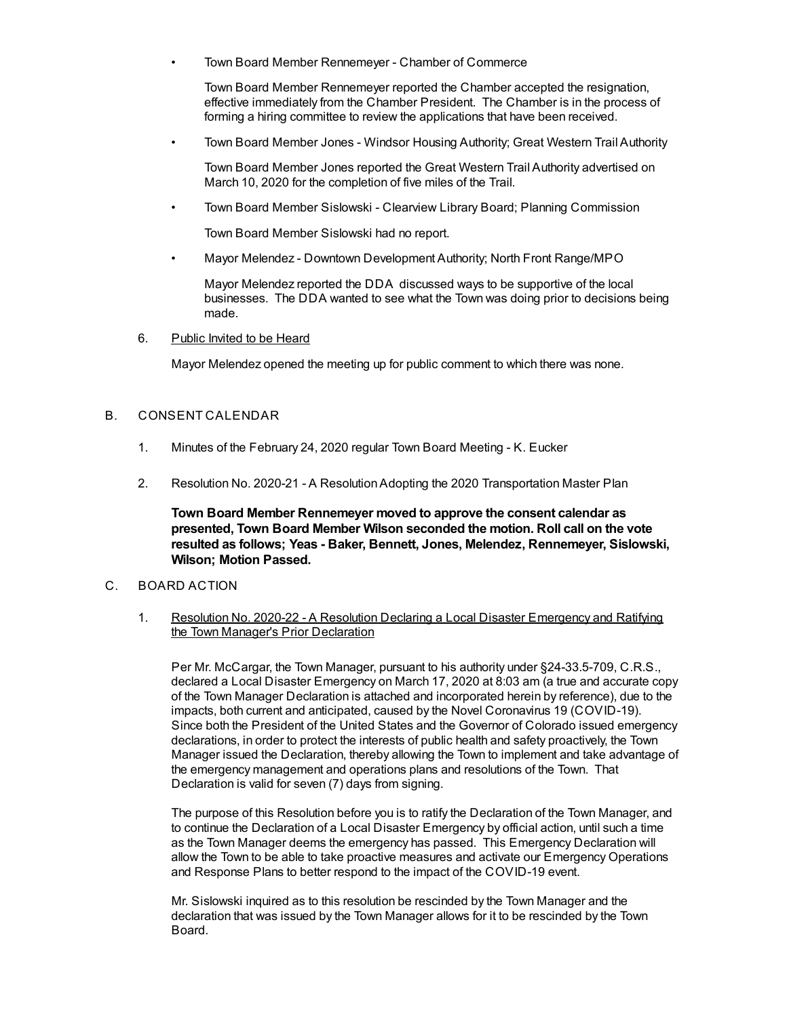• Town Board Member Rennemeyer - Chamber of Commerce

Town Board Member Rennemeyer reported the Chamber accepted the resignation, effective immediately from the Chamber President. The Chamber is in the process of forming a hiring committee to review the applications that have been received.

• Town Board Member Jones - Windsor Housing Authority; Great Western Trail Authority

Town Board Member Jones reported the Great Western Trail Authority advertised on March 10, 2020 for the completion of five miles of the Trail.

• Town Board Member Sislowski - Clearview Library Board; Planning Commission

Town Board Member Sislowski had no report.

• Mayor Melendez - Downtown Development Authority; North Front Range/MPO

Mayor Melendez reported the DDA discussed ways to be supportive of the local businesses. The DDA wanted to see what the Town was doing prior to decisions being made.

6. Public Invited to be Heard

Mayor Melendez opened the meeting up for public comment to which there was none.

### B. CONSENT CALENDAR

- 1. Minutes of the February 24, 2020 regular Town Board Meeting K. Eucker
- 2. Resolution No. 2020-21 A ResolutionAdopting the 2020 Transportation Master Plan

**Town Board Member Rennemeyer moved to approve the consent calendar as presented, Town Board Member Wilson seconded the motion. Roll call on the vote resulted as follows; Yeas - Baker, Bennett, Jones, Melendez, Rennemeyer, Sislowski, Wilson; Motion Passed.**

- C. BOARD ACTION
	- 1. Resolution No. 2020-22 A Resolution Declaring a Local Disaster Emergency and Ratifying the Town Manager's Prior Declaration

Per Mr. McCargar, the Town Manager, pursuant to his authority under §24-33.5-709, C.R.S., declared a Local Disaster Emergency on March 17, 2020 at 8:03 am (a true and accurate copy of the Town Manager Declaration is attached and incorporated herein by reference), due to the impacts, both current and anticipated, caused by the Novel Coronavirus 19 (COVID-19). Since both the President of the United States and the Governor of Colorado issued emergency declarations, in order to protect the interests of public health and safety proactively, the Town Manager issued the Declaration, thereby allowing the Town to implement and take advantage of the emergency management and operations plans and resolutions of the Town. That Declaration is valid for seven (7) days from signing.

The purpose of this Resolution before you is to ratify the Declaration of the Town Manager, and to continue the Declaration of a Local Disaster Emergency by official action, until such a time as the Town Manager deems the emergency has passed. This Emergency Declaration will allow the Town to be able to take proactive measures and activate our Emergency Operations and Response Plans to better respond to the impact of the COVID-19 event.

Mr. Sislowski inquired as to this resolution be rescinded by the Town Manager and the declaration that was issued by the Town Manager allows for it to be rescinded by the Town Board.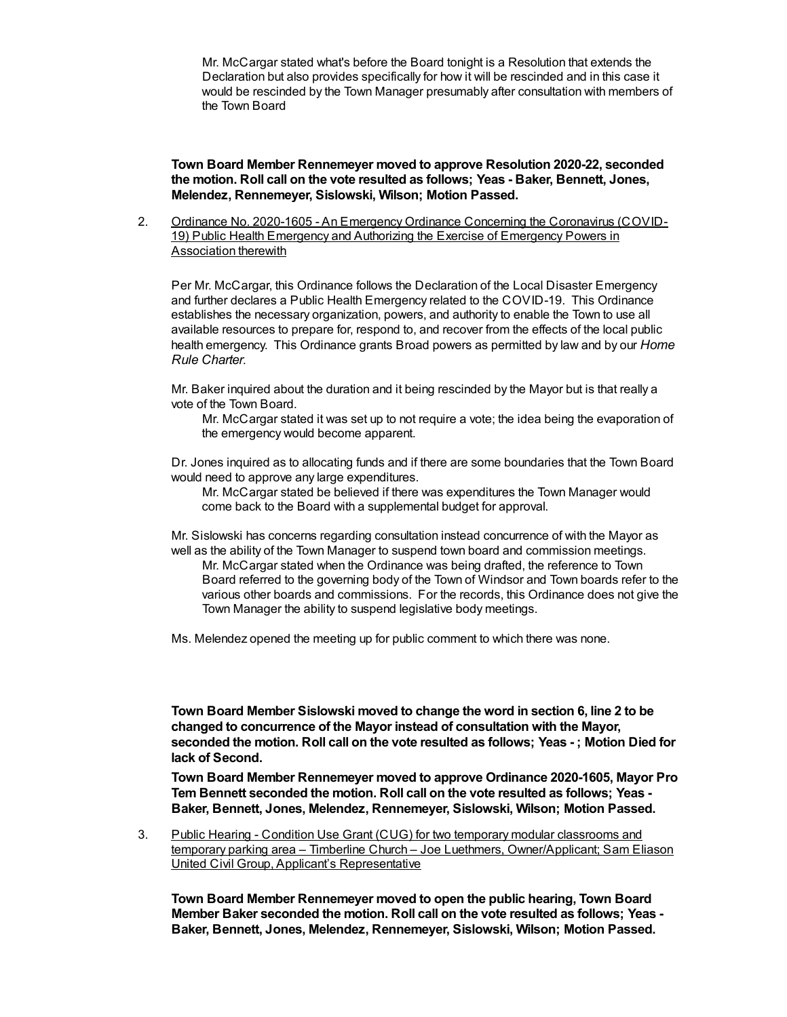Mr. McCargar stated what's before the Board tonight is a Resolution that extends the Declaration but also provides specifically for how it will be rescinded and in this case it would be rescinded by the Town Manager presumably after consultation with members of the Town Board

**Town Board Member Rennemeyer moved to approve Resolution 2020-22, seconded the motion. Roll call on the vote resulted as follows; Yeas - Baker, Bennett, Jones, Melendez, Rennemeyer, Sislowski, Wilson; Motion Passed.**

2. Ordinance No. 2020-1605 - An Emergency Ordinance Concerning the Coronavirus (COVID-19) Public Health Emergency and Authorizing the Exercise of Emergency Powers in Association therewith

Per Mr. McCargar, this Ordinance follows the Declaration of the Local Disaster Emergency and further declares a Public Health Emergency related to the COVID-19. This Ordinance establishes the necessary organization, powers, and authority to enable the Town to use all available resources to prepare for, respond to, and recover from the effects of the local public health emergency. This Ordinance grants Broad powers as permitted by law and by our *Home Rule Charter*.

Mr. Baker inquired about the duration and it being rescinded by the Mayor but is that really a vote of the Town Board.

Mr. McCargar stated it was set up to not require a vote; the idea being the evaporation of the emergency would become apparent.

Dr. Jones inquired as to allocating funds and if there are some boundaries that the Town Board would need to approve any large expenditures.

Mr. McCargar stated be believed if there was expenditures the Town Manager would come back to the Board with a supplemental budget for approval.

Mr. Sislowski has concerns regarding consultation instead concurrence of with the Mayor as well as the ability of the Town Manager to suspend town board and commission meetings.

Mr. McCargar stated when the Ordinance was being drafted, the reference to Town Board referred to the governing body of the Town of Windsor and Town boards refer to the various other boards and commissions. For the records, this Ordinance does not give the Town Manager the ability to suspend legislative body meetings.

Ms. Melendez opened the meeting up for public comment to which there was none.

**Town Board Member Sislowski moved to change the word in section 6, line 2 to be changed to concurrence of the Mayor instead of consultation with the Mayor, seconded the motion. Roll call on the vote resulted as follows; Yeas - ; Motion Died for lack of Second.**

**Town Board Member Rennemeyer moved to approve Ordinance 2020-1605, Mayor Pro Tem Bennett seconded the motion. Roll call on the vote resulted as follows; Yeas - Baker, Bennett, Jones, Melendez, Rennemeyer, Sislowski, Wilson; Motion Passed.**

3. Public Hearing - Condition Use Grant (CUG) for two temporary modular classrooms and temporary parking area – Timberline Church – Joe Luethmers, Owner/Applicant; Sam Eliason United Civil Group, Applicant's Representative

**Town Board Member Rennemeyer moved to open the public hearing, Town Board Member Baker seconded the motion. Roll call on the vote resulted as follows; Yeas - Baker, Bennett, Jones, Melendez, Rennemeyer, Sislowski, Wilson; Motion Passed.**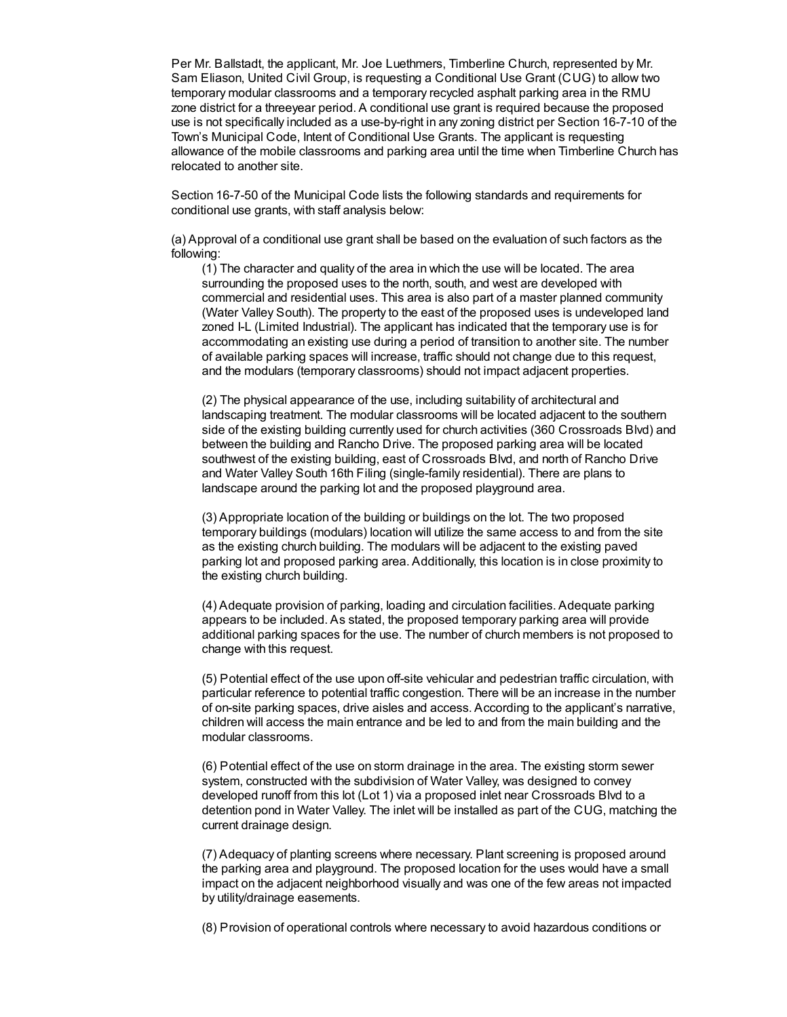Per Mr. Ballstadt, the applicant, Mr. Joe Luethmers, Timberline Church, represented by Mr. Sam Eliason, United Civil Group, is requesting a Conditional Use Grant (CUG) to allow two temporary modular classrooms and a temporary recycled asphalt parking area in the RMU zone district for a threeyear period. A conditional use grant is required because the proposed use is not specifically included as a use-by-right in any zoning district per Section 16-7-10 of the Town's Municipal Code, Intent of Conditional Use Grants. The applicant is requesting allowance of the mobile classrooms and parking area until the time when Timberline Church has relocated to another site.

Section 16-7-50 of the Municipal Code lists the following standards and requirements for conditional use grants, with staff analysis below:

(a) Approval of a conditional use grant shall be based on the evaluation of such factors as the following:

(1) The character and quality of the area in which the use will be located. The area surrounding the proposed uses to the north, south, and west are developed with commercial and residential uses. This area is also part of a master planned community (Water Valley South). The property to the east of the proposed uses is undeveloped land zoned I-L (Limited Industrial). The applicant has indicated that the temporary use is for accommodating an existing use during a period of transition to another site. The number of available parking spaces will increase, traffic should not change due to this request, and the modulars (temporary classrooms) should not impact adjacent properties.

(2) The physical appearance of the use, including suitability of architectural and landscaping treatment. The modular classrooms will be located adjacent to the southern side of the existing building currently used for church activities (360 Crossroads Blvd) and between the building and Rancho Drive. The proposed parking area will be located southwest of the existing building, east of Crossroads Blvd, and north of Rancho Drive and Water Valley South 16th Filing (single-family residential). There are plans to landscape around the parking lot and the proposed playground area.

(3) Appropriate location of the building or buildings on the lot. The two proposed temporary buildings (modulars) location will utilize the same access to and from the site as the existing church building. The modulars will be adjacent to the existing paved parking lot and proposed parking area. Additionally, this location is in close proximity to the existing church building.

(4) Adequate provision of parking, loading and circulation facilities. Adequate parking appears to be included. As stated, the proposed temporary parking area will provide additional parking spaces for the use. The number of church members is not proposed to change with this request.

(5) Potential effect of the use upon off-site vehicular and pedestrian traffic circulation, with particular reference to potential traffic congestion. There will be an increase in the number of on-site parking spaces, drive aisles and access. According to the applicant's narrative, children will access the main entrance and be led to and from the main building and the modular classrooms.

(6) Potential effect of the use on storm drainage in the area. The existing storm sewer system, constructed with the subdivision of Water Valley, was designed to convey developed runoff from this lot (Lot 1) via a proposed inlet near Crossroads Blvd to a detention pond in Water Valley. The inlet will be installed as part of the CUG, matching the current drainage design.

(7) Adequacy of planting screens where necessary. Plant screening is proposed around the parking area and playground. The proposed location for the uses would have a small impact on the adjacent neighborhood visually and was one of the few areas not impacted by utility/drainage easements.

(8) Provision of operational controls where necessary to avoid hazardous conditions or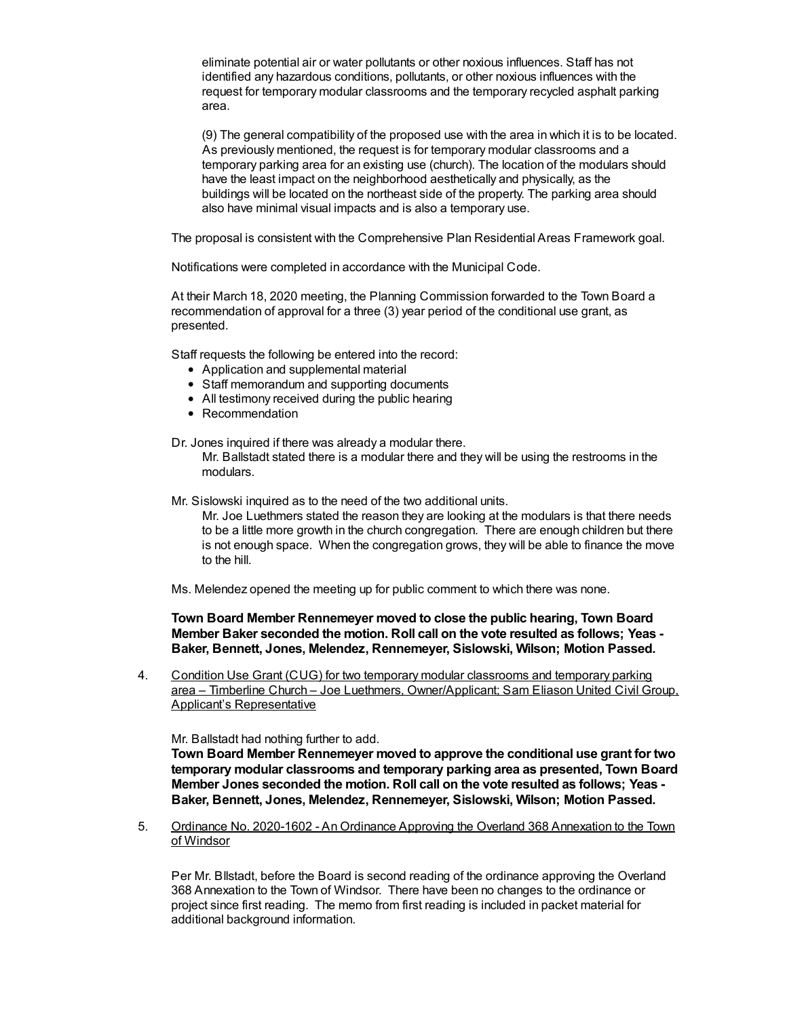eliminate potential air or water pollutants or other noxious influences. Staff has not identified any hazardous conditions, pollutants, or other noxious influences with the request for temporary modular classrooms and the temporary recycled asphalt parking area.

(9) The general compatibility of the proposed use with the area in which it is to be located. As previously mentioned, the request is for temporary modular classrooms and a temporary parking area for an existing use (church). The location of the modulars should have the least impact on the neighborhood aesthetically and physically, as the buildings will be located on the northeast side of the property. The parking area should also have minimal visual impacts and is also a temporary use.

The proposal is consistent with the Comprehensive Plan Residential Areas Framework goal.

Notifications were completed in accordance with the Municipal Code.

At their March 18, 2020 meeting, the Planning Commission forwarded to the Town Board a recommendation of approval for a three (3) year period of the conditional use grant, as presented.

Staff requests the following be entered into the record:

- Application and supplemental material
- Staff memorandum and supporting documents
- All testimony received during the public hearing
- Recommendation

Dr. Jones inquired if there was already a modular there.

Mr. Ballstadt stated there is a modular there and they will be using the restrooms in the modulars.

Mr. Sislowski inquired as to the need of the two additional units.

Mr. Joe Luethmers stated the reason they are looking at the modulars is that there needs to be a little more growth in the church congregation. There are enough children but there is not enough space. When the congregation grows, they will be able to finance the move to the hill.

Ms. Melendez opened the meeting up for public comment to which there was none.

**Town Board Member Rennemeyer moved to close the public hearing, Town Board Member Baker seconded the motion. Roll call on the vote resulted as follows; Yeas - Baker, Bennett, Jones, Melendez, Rennemeyer, Sislowski, Wilson; Motion Passed.**

4. Condition Use Grant (CUG) for two temporary modular classrooms and temporary parking area – Timberline Church – Joe Luethmers, Owner/Applicant; Sam Eliason United Civil Group, Applicant's Representative

Mr. Ballstadt had nothing further to add.

**Town Board Member Rennemeyer moved to approve the conditional use grant for two temporary modular classrooms and temporary parking area as presented, Town Board Member Jones seconded the motion. Roll call on the vote resulted as follows; Yeas - Baker, Bennett, Jones, Melendez, Rennemeyer, Sislowski, Wilson; Motion Passed.**

5. Ordinance No. 2020-1602 - An Ordinance Approving the Overland 368 Annexation to the Town of Windsor

Per Mr. Bllstadt, before the Board is second reading of the ordinance approving the Overland 368 Annexation to the Town of Windsor. There have been no changes to the ordinance or project since first reading. The memo from first reading is included in packet material for additional background information.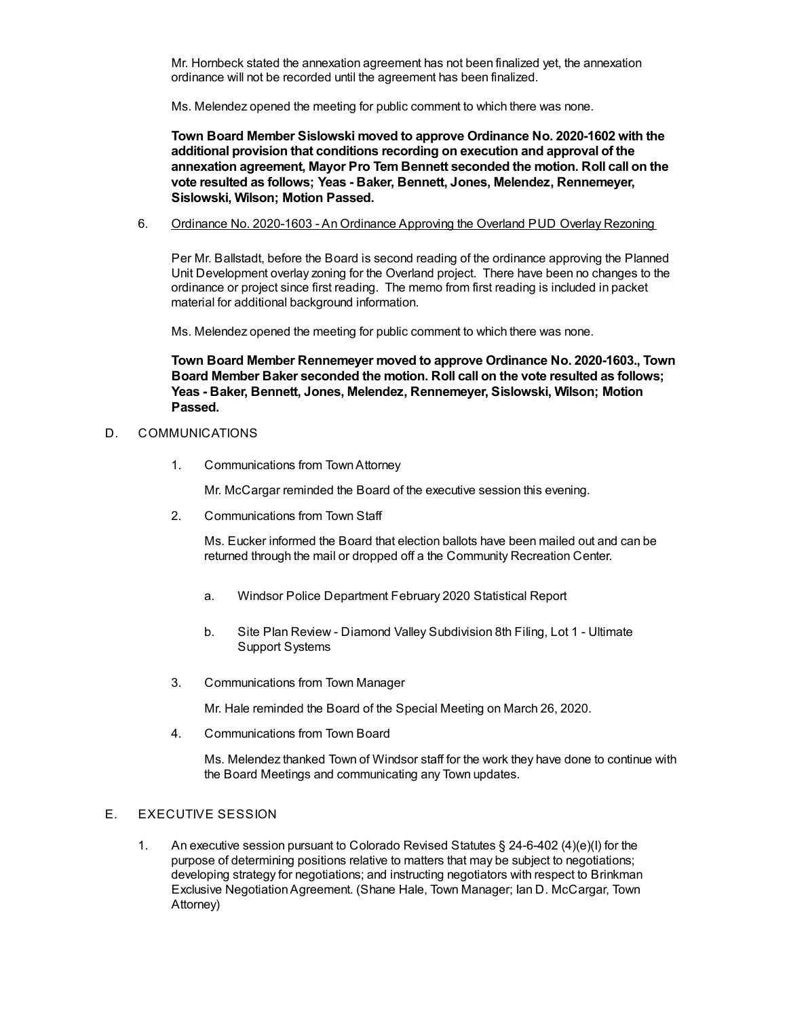Mr. Hornbeck stated the annexation agreement has not been finalized yet, the annexation ordinance will not be recorded until the agreement has been finalized.

Ms. Melendez opened the meeting for public comment to which there was none.

**Town Board Member Sislowski moved to approve Ordinance No. 2020-1602 with the additional provision that conditions recording on execution and approval of the annexation agreement, Mayor Pro Tem Bennett seconded the motion. Roll call on the vote resulted as follows; Yeas - Baker, Bennett, Jones, Melendez, Rennemeyer, Sislowski, Wilson; Motion Passed.**

### 6. Ordinance No. 2020-1603 - An Ordinance Approving the Overland PUD Overlay Rezoning

Per Mr. Ballstadt, before the Board is second reading of the ordinance approving the Planned Unit Development overlay zoning for the Overland project. There have been no changes to the ordinance or project since first reading. The memo from first reading is included in packet material for additional background information.

Ms. Melendez opened the meeting for public comment to which there was none.

**Town Board Member Rennemeyer moved to approve Ordinance No. 2020-1603., Town Board Member Baker seconded the motion. Roll call on the vote resulted as follows; Yeas - Baker, Bennett, Jones, Melendez, Rennemeyer, Sislowski, Wilson; Motion Passed.**

## D. COMMUNICATIONS

1. Communications from TownAttorney

Mr. McCargar reminded the Board of the executive session this evening.

2. Communications from Town Staff

Ms. Eucker informed the Board that election ballots have been mailed out and can be returned through the mail or dropped off a the Community Recreation Center.

- a. Windsor Police Department February 2020 Statistical Report
- b. Site Plan Review Diamond Valley Subdivision 8th Filing, Lot 1 Ultimate Support Systems
- 3. Communications from Town Manager

Mr. Hale reminded the Board of the Special Meeting on March 26, 2020.

4. Communications from Town Board

Ms. Melendez thanked Town of Windsor staff for the work they have done to continue with the Board Meetings and communicating any Town updates.

### E. EXECUTIVE SESSION

1. An executive session pursuant to Colorado Revised Statutes § 24-6-402 (4)(e)(I) for the purpose of determining positions relative to matters that may be subject to negotiations; developing strategy for negotiations; and instructing negotiators with respect to Brinkman Exclusive NegotiationAgreement. (Shane Hale, Town Manager; Ian D. McCargar, Town Attorney)